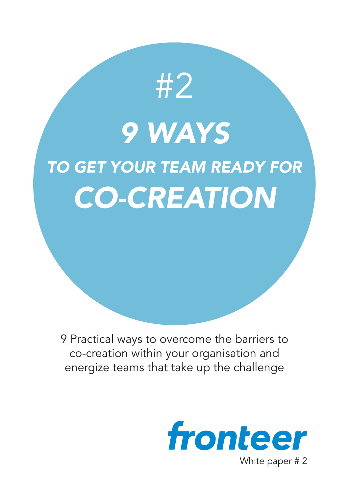*9 WAYS TO GET YOUR TEAM READY FOR CO-CREATION*

#2

9 Practical ways to overcome the barriers to co-creation within your organisation and energize teams that take up the challenge

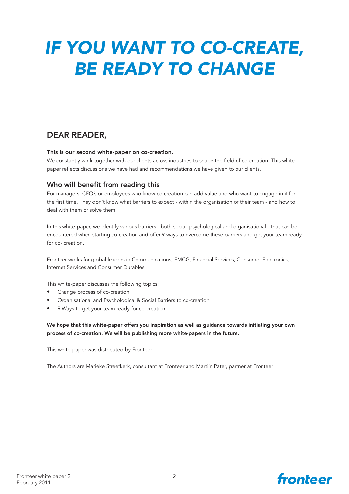# *IF YOU WANT TO CO-CREATE, BE READY TO CHANGE*

### DEAR READER,

#### This is our second white-paper on co-creation.

We constantly work together with our clients across industries to shape the field of co-creation. This whitepaper reflects discussions we have had and recommendations we have given to our clients.

#### Who will benefit from reading this

For managers, CEO's or employees who know co-creation can add value and who want to engage in it for the first time. They don't know what barriers to expect - within the organisation or their team - and how to deal with them or solve them.

In this white-paper, we identify various barriers - both social, psychological and organisational - that can be encountered when starting co-creation and offer 9 ways to overcome these barriers and get your team ready for co- creation.

Fronteer works for global leaders in Communications, FMCG, Financial Services, Consumer Electronics, Internet Services and Consumer Durables.

This white-paper discusses the following topics:

- Change process of co-creation
- Organisational and Psychological & Social Barriers to co-creation
- 9 Ways to get your team ready for co-creation

We hope that this white-paper offers you inspiration as well as guidance towards initiating your own process of co-creation. We will be publishing more white-papers in the future.

This white-paper was distributed by Fronteer

The Authors are Marieke Streefkerk, consultant at Fronteer and Martijn Pater, partner at Fronteer

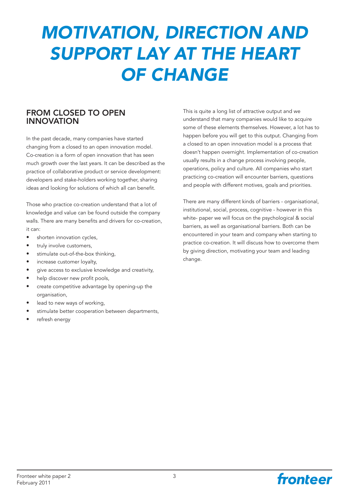# *MOTIVATION, DIRECTION AND SUPPORT LAY AT THE HEART OF CHANGE*

#### FROM CLOSED TO OPEN INNOVATION

In the past decade, many companies have started changing from a closed to an open innovation model. Co-creation is a form of open innovation that has seen much growth over the last years. It can be described as the practice of collaborative product or service development: developers and stake-holders working together, sharing ideas and looking for solutions of which all can benefit.

Those who practice co-creation understand that a lot of knowledge and value can be found outside the company walls. There are many benefits and drivers for co-creation, it can:

- shorten innovation cycles,
- truly involve customers,
- stimulate out-of-the-box thinking,
- increase customer loyalty,
- give access to exclusive knowledge and creativity,
- help discover new profit pools,
- create competitive advantage by opening-up the organisation,
- lead to new ways of working,
- stimulate better cooperation between departments,
- refresh energy

This is quite a long list of attractive output and we understand that many companies would like to acquire some of these elements themselves. However, a lot has to happen before you will get to this output. Changing from a closed to an open innovation model is a process that doesn't happen overnight. Implementation of co-creation usually results in a change process involving people, operations, policy and culture. All companies who start practicing co-creation will encounter barriers, questions and people with different motives, goals and priorities.

There are many different kinds of barriers - organisational, institutional, social, process, cognitive - however in this white- paper we will focus on the psychological & social barriers, as well as organisational barriers. Both can be encountered in your team and company when starting to practice co-creation. It will discuss how to overcome them by giving direction, motivating your team and leading change.

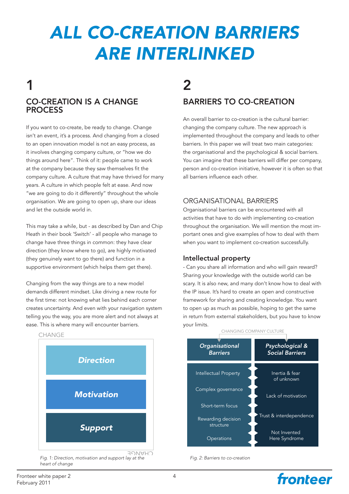# *ALL CO-CREATION BARRIERS ARE INTERLINKED*

## CO-CREATION IS A CHANGE **PROCESS** 1

If you want to co-create, be ready to change. Change isn't an event, it's a process. And changing from a closed to an open innovation model is not an easy process, as it involves changing company culture, or "how we do things around here". Think of it: people came to work at the company because they saw themselves fit the company culture. A culture that may have thrived for many years. A culture in which people felt at ease. And now "we are going to do it differently" throughout the whole organisation. We are going to open up, share our ideas and let the outside world in.

This may take a while, but - as described by Dan and Chip Heath in their book 'Switch' - all people who manage to change have three things in common: they have clear direction (they know where to go), are highly motivated (they genuinely want to go there) and function in a supportive environment (which helps them get there).

Changing from the way things are to a new model demands different mindset. Like driving a new route for the first time: not knowing what lies behind each corner creates uncertainty. And even with your navigation system telling you the way, you are more alert and not always at ease. This is where many will encounter barriers.



*Fig. 1: Direction, motivation and support lay at the heart of change*

## BARRIERS TO CO-CREATION  $\boldsymbol{c}$

An overall barrier to co-creation is the cultural barrier: changing the company culture. The new approach is implemented throughout the company and leads to other barriers. In this paper we will treat two main categories: the organisational and the psychological & social barriers. You can imagine that these barriers will differ per company, person and co-creation initiative, however it is often so that all barriers influence each other.

#### ORGANISATIONAL BARRIERS

Organisational barriers can be encountered with all activities that have to do with implementing co-creation throughout the organisation. We will mention the most important ones and give examples of how to deal with them when you want to implement co-creation successfully.

#### Intellectual property

- Can you share all information and who will gain reward? Sharing your knowledge with the outside world can be scary. It is also new, and many don't know how to deal with the IP issue. It's hard to create an open and constructive framework for sharing and creating knowledge. You want to open up as much as possible, hoping to get the same in return from external stakeholders, but you have to know your limits.



fronteer

*Fig. 2: Barriers to co-creation*

#### CHANGING COMPANY CULTURE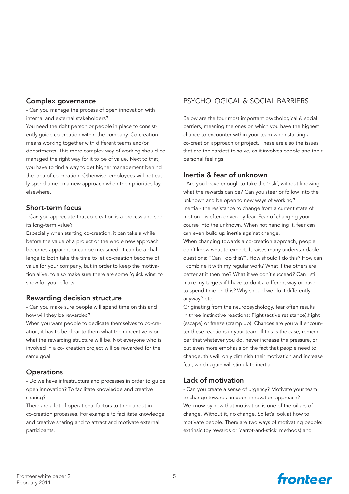#### Complex governance

- Can you manage the process of open innovation with internal and external stakeholders?

You need the right person or people in place to consistently guide co-creation within the company. Co-creation means working together with different teams and/or departments. This more complex way of working should be managed the right way for it to be of value. Next to that, you have to find a way to get higher management behind the idea of co-creation. Otherwise, employees will not easily spend time on a new approach when their priorities lay elsewhere.

#### Short-term focus

- Can you appreciate that co-creation is a process and see its long-term value?

Especially when starting co-creation, it can take a while before the value of a project or the whole new approach becomes apparent or can be measured. It can be a challenge to both take the time to let co-creation become of value for your company, but in order to keep the motivation alive, to also make sure there are some 'quick wins' to show for your efforts.

#### Rewarding decision structure

- Can you make sure people will spend time on this and how will they be rewarded?

When you want people to dedicate themselves to co-creation, it has to be clear to them what their incentive is or what the rewarding structure will be. Not everyone who is involved in a co- creation project will be rewarded for the same goal.

#### **Operations**

- Do we have infrastructure and processes in order to guide open innovation? To facilitate knowledge and creative sharing?

There are a lot of operational factors to think about in co-creation processes. For example to facilitate knowledge and creative sharing and to attract and motivate external participants.

### PSYCHOLOGICAL & SOCIAL BARRIERS

Below are the four most important psychological & social barriers, meaning the ones on which you have the highest chance to encounter within your team when starting a co-creation approach or project. These are also the issues that are the hardest to solve, as it involves people and their personal feelings.

#### Inertia & fear of unknown

- Are you brave enough to take the 'risk', without knowing what the rewards can be? Can you steer or follow into the unknown and be open to new ways of working? Inertia - the resistance to change from a current state of motion - is often driven by fear. Fear of changing your course into the unknown. When not handling it, fear can can even build up inertia against change.

When changing towards a co-creation approach, people don't know what to expect. It raises many understandable questions: "Can I do this?", How should I do this? How can I combine it with my regular work? What if the others are better at it then me? What if we don't succeed? Can I still make my targets if I have to do it a different way or have to spend time on this? Why should we do it differently anyway? etc.

Originating from the neuropsychology, fear often results in three instinctive reactions: Fight (active resistance),flight (escape) or freeze (cramp up). Chances are you will encounter these reactions in your team. If this is the case, remember that whatever you do, never increase the pressure, or put even more emphasis on the fact that people need to change, this will only diminish their motivation and increase fear, which again will stimulate inertia.

#### Lack of motivation

- Can you create a sense of urgency? Motivate your team to change towards an open innovation approach? We know by now that motivation is one of the pillars of change. Without it, no change. So let's look at how to motivate people. There are two ways of motivating people: extrinsic (by rewards or 'carrot-and-stick' methods) and

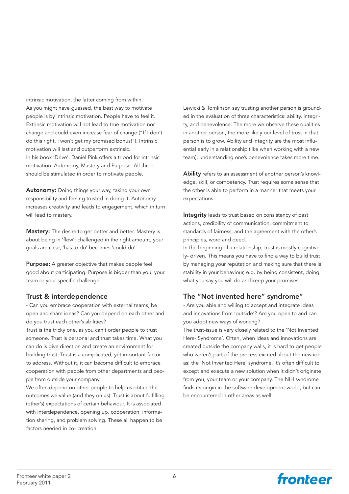intrinsic motivation, the latter coming from within. As you might have guessed, the best way to motivate people is by intrinsic motivation. People have to feel it. Extrinsic motivation will not lead to true motivation nor change and could even increase fear of change ("If I don't do this right, I won't get my promised bonus!"). Intrinsic motivation will last and outperform extrinsic. In his book 'Drive', Daniel Pink offers a tripod for intrinsic motivation: Autonomy, Mastery and Purpose. All three should be stimulated in order to motivate people.

Autonomy: Doing things your way, taking your own responsibility and feeling trusted in doing it. Autonomy increases creativity and leads to engagement, which in turn will lead to mastery.

Mastery: The desire to get better and better. Mastery is about being in 'flow': challenged in the right amount, your goals are clear, 'has to do' becomes 'could do'.

Purpose: A greater objective that makes people feel good about participating. Purpose is bigger than you, your team or your specific challenge.

#### Trust & interdependence

- Can you embrace cooperation with external teams, be open and share ideas? Can you depend on each other and do you trust each other's abilities?

Trust is the tricky one, as you can't order people to trust someone. Trust is personal and trust takes time. What you can do is give direction and create an environment for building trust. Trust is a complicated, yet important factor to address. Without it, it can become difficult to embrace cooperation with people from other departments and people from outside your company.

We often depend on other people to help us obtain the outcomes we value (and they on us). Trust is about fulfilling (other's) expectations of certain behaviour. It is associated with interdependence, opening up, cooperation, information sharing, and problem solving. These all happen to be factors needed in co- creation.

Lewicki & Tomlinson say trusting another person is grounded in the evaluation of three characteristics: ability, integrity, and benevolence. The more we observe these qualities in another person, the more likely our level of trust in that person is to grow. Ability and integrity are the most influential early in a relationship (like when working with a new team), understanding one's benevolence takes more time.

Ability refers to an assessment of another person's knowledge, skill, or competency. Trust requires some sense that the other is able to perform in a manner that meets your expectations.

Integrity leads to trust based on consistency of past actions, credibility of communication, commitment to standards of fairness, and the agreement with the other's principles, word and deed.

In the beginning of a relationship, trust is mostly cognitively- driven. This means you have to find a way to build trust by managing your reputation and making sure that there is stability in your behaviour, e.g. by being consistent, doing what you say you will do and keep your promises.

#### The "Not invented here" syndrome"

- Are you able and willing to accept and integrate ideas and innovations from 'outside'? Are you open to and can you adopt new ways of working?

The trust-issue is very closely related to the 'Not Invented Here- Syndrome'. Often, when ideas and innovations are created outside the company walls, it is hard to get people who weren't part of the process excited about the new ideas: the 'Not Invented Here' syndrome. It's often difficult to except and execute a new solution when it didn't originate from you, your team or your company. The NIH syndrome finds its origin in the software development world, but can be encountered in other areas as well.

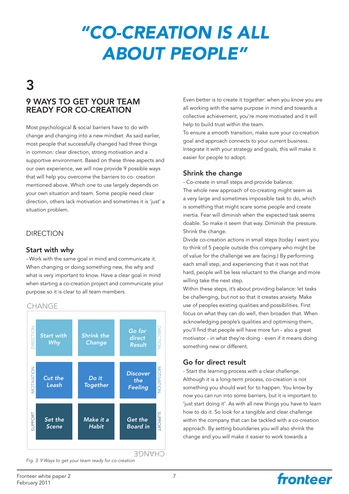# *"CO-CREATION IS ALL ABOUT PEOPLE"*

# 3

### 9 WAYS TO GET YOUR TEAM READY FOR CO-CREATION

Most psychological & social barriers have to do with change and changing into a new mindset. As said earlier, most people that successfully changed had three things in common: clear direction, strong motivation and a supportive environment. Based on these three aspects and our own experience, we will now provide 9 possible ways that will help you overcome the barriers to co- creation mentioned above. Which one to use largely depends on your own situation and team. Some people need clear direction, others lack motivation and sometimes it is 'just' a situation problem.

#### DIRECTION

#### Start with why

- Work with the same goal in mind and communicate it. When changing or doing something new, the why and what is very important to know. Have a clear goal in mind when starting a co-creation project and communicate your purpose so it is clear to all team members.

#### CHANGE



*Fig. 3: 9 Ways to get your team ready for co-creation*

Even better is to create it together: when you know you are all working with the same purpose in mind and towards a collective achievement, you're more motivated and it will help to build trust within the team.

To ensure a smooth transition, make sure your co-creation goal and approach connects to your current business. Integrate it with your strategy and goals, this will make it easier for people to adopt.

#### Shrink the change

- Co-create in small steps and provide balance. The whole new approach of co-creating might seem as a very large and sometimes impossible task to do, which is something that might scare some people and create inertia. Fear will diminish when the expected task seems doable. So make it seem that way. Diminish the pressure. Shrink the change.

Divide co-creation actions in small steps (today I want you to think of 5 people outside this company who might be of value for the challenge we are facing.) By performing each small step, and experiencing that it was not that hard, people will be less reluctant to the change and more willing take the next step.

Within these steps, it's about providing balance: let tasks be challenging, but not so that it creates anxiety. Make use of peoples existing qualities and possibilities. First focus on what they can do well, then broaden that. When acknowledging people's qualities and optimising them, you'll find that people will have more fun - also a great motivator - in what they're doing - even if it means doing something new or different.

#### Go for direct result

- Start the learning process with a clear challenge. Although it is a long-term process, co-creation is not something you should wait for to happen. You know by now you can run into some barriers, but it is important to 'just start doing it'. As with all new things you have to learn how to do it. So look for a tangible and clear challenge within the company that can be tackled with a co-creation approach. By setting boundaries you will also shrink the change and you will make it easier to work towards a

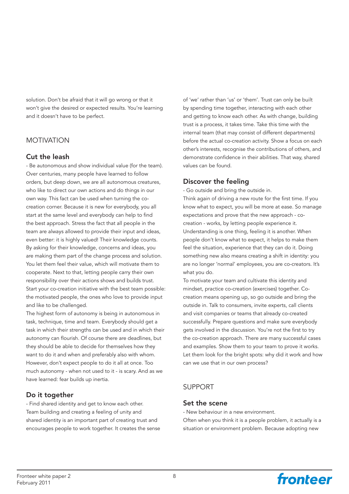solution. Don't be afraid that it will go wrong or that it won't give the desired or expected results. You're learning and it doesn't have to be perfect.

#### **MOTIVATION**

#### Cut the leash

- Be autonomous and show individual value (for the team). Over centuries, many people have learned to follow orders, but deep down, we are all autonomous creatures, who like to direct our own actions and do things in our own way. This fact can be used when turning the cocreation corner. Because it is new for everybody, you all start at the same level and everybody can help to find the best approach. Stress the fact that all people in the team are always allowed to provide their input and ideas, even better: it is highly valued! Their knowledge counts. By asking for their knowledge, concerns and ideas, you are making them part of the change process and solution. You let them feel their value, which will motivate them to cooperate. Next to that, letting people carry their own responsibility over their actions shows and builds trust. Start your co-creation initiative with the best team possible: the motivated people, the ones who love to provide input and like to be challenged.

The highest form of autonomy is being in autonomous in task, technique, time and team. Everybody should get a task in which their strengths can be used and in which their autonomy can flourish. Of course there are deadlines, but they should be able to decide for themselves how they want to do it and when and preferably also with whom. However, don't expect people to do it all at once. Too much autonomy - when not used to it - is scary. And as we have learned: fear builds up inertia.

#### Do it together

- Find shared identity and get to know each other. Team building and creating a feeling of unity and shared identity is an important part of creating trust and encourages people to work together. It creates the sense

of 'we' rather than 'us' or 'them'. Trust can only be built by spending time together, interacting with each other and getting to know each other. As with change, building trust is a process, it takes time. Take this time with the internal team (that may consist of different departments) before the actual co-creation activity. Show a focus on each other's interests, recognise the contributions of others, and demonstrate confidence in their abilities. That way, shared values can be found.

#### Discover the feeling

- Go outside and bring the outside in.

Think again of driving a new route for the first time. If you know what to expect, you will be more at ease. So manage expectations and prove that the new approach - cocreation - works, by letting people experience it. Understanding is one thing, feeling it is another. When people don't know what to expect, it helps to make them feel the situation, experience that they can do it. Doing something new also means creating a shift in identity: you are no longer 'normal' employees, you are co-creators. It's what you do.

To motivate your team and cultivate this identity and mindset, practice co-creation (exercises) together. Cocreation means opening up, so go outside and bring the outside in. Talk to consumers, invite experts, call clients and visit companies or teams that already co-created successfully. Prepare questions and make sure everybody gets involved in the discussion. You're not the first to try the co-creation approach. There are many successful cases and examples. Show them to your team to prove it works. Let them look for the bright spots: why did it work and how can we use that in our own process?

#### SUPPORT

#### Set the scene

- New behaviour in a new environment.

Often when you think it is a people problem, it actually is a situation or environment problem. Because adopting new

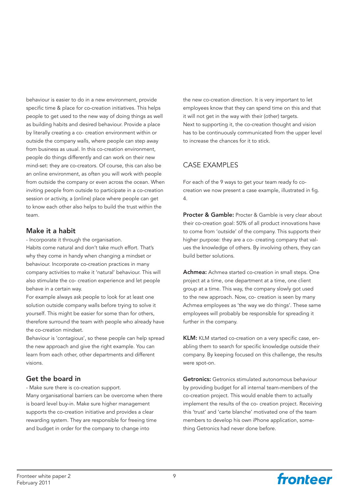behaviour is easier to do in a new environment, provide specific time & place for co-creation initiatives. This helps people to get used to the new way of doing things as well as building habits and desired behaviour. Provide a place by literally creating a co- creation environment within or outside the company walls, where people can step away from business as usual. In this co-creation environment, people do things differently and can work on their new mind-set: they are co-creators. Of course, this can also be an online environment, as often you will work with people from outside the company or even across the ocean. When inviting people from outside to participate in a co-creation session or activity, a (online) place where people can get to know each other also helps to build the trust within the team.

#### Make it a habit

- Incorporate it through the organisation.

Habits come natural and don't take much effort. That's why they come in handy when changing a mindset or behaviour. Incorporate co-creation practices in many company activities to make it 'natural' behaviour. This will also stimulate the co- creation experience and let people behave in a certain way.

For example always ask people to look for at least one solution outside company walls before trying to solve it yourself. This might be easier for some than for others, therefore surround the team with people who already have the co-creation mindset.

Behaviour is 'contagious', so these people can help spread the new approach and give the right example. You can learn from each other, other departments and different visions.

#### Get the board in

- Make sure there is co-creation support.

Many organisational barriers can be overcome when there is board level buy-in. Make sure higher management supports the co-creation initiative and provides a clear rewarding system. They are responsible for freeing time and budget in order for the company to change into

the new co-creation direction. It is very important to let employees know that they can spend time on this and that it will not get in the way with their (other) targets. Next to supporting it, the co-creation thought and vision has to be continuously communicated from the upper level to increase the chances for it to stick.

#### CASE EXAMPLES

For each of the 9 ways to get your team ready fo cocreation we now present a case example, illustrated in fig. 4.

Procter & Gamble: Procter & Gamble is very clear about their co-creation goal: 50% of all product innovations have to come from 'outside' of the company. This supports their higher purpose: they are a co- creating company that values the knowledge of others. By involving others, they can build better solutions.

Achmea: Achmea started co-creation in small steps. One project at a time, one department at a time, one client group at a time. This way, the company slowly got used to the new approach. Now, co- creation is seen by many Achmea employees as 'the way we do things'. These same employees will probably be responsible for spreading it further in the company.

KLM: KLM started co-creation on a very specific case, enabling them to search for specific knowledge outside their company. By keeping focused on this challenge, the results were spot-on.

Getronics: Getronics stimulated autonomous behaviour by providing budget for all internal team-members of the co-creation project. This would enable them to actually implement the results of the co- creation project. Receiving this 'trust' and 'carte blanche' motivated one of the team members to develop his own iPhone application, something Getronics had never done before.

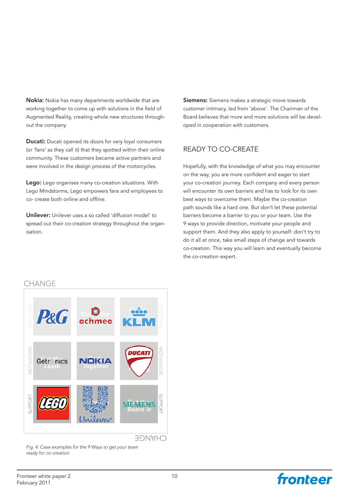Nokia: Nokia has many departments worldwide that are working together to come up with solutions in the field of Augmented Reality, creating whole new structures throughout the company.

**Ducati:** Ducati opened its doors for very loyal consumers (or 'fans' as they call it) that they spotted within their online community. These customers became active partners and were involved in the design process of the motorcycles.

Lego: Lego organises many co-creation situations. With Lego Mindstorms, Lego empowers fans and employees to co- create both online and offline.

Unilever: Unilever uses a so called 'diffusion model' to spread out their co-creation strategy throughout the organisation.

Siemens: Siemens makes a strategic move towards customer intimacy, led from 'above'. The Chairman of the Board believes that more and more solutions will be developed in cooperation with customers.

#### READY TO CO-CREATE

Hopefully, with the knowledge of what you may encounter on the way, you are more confident and eager to start your co-creation journey. Each company and every person will encounter its own barriers and has to look for its own best ways to overcome them. Maybe the co-creation path sounds like a hard one. But don't let these potential barriers become a barrier to you or your team. Use the 9 ways to provide direction, motivate your people and support them. And they also apply to yourself: don't try to do it all at once, take small steps of change and towards co-creation. This way you will learn and eventually become the co-creation expert.

#### **CHANGE**



*Fig. 4: Case examples for the 9 Ways to get your team ready for co-creation*